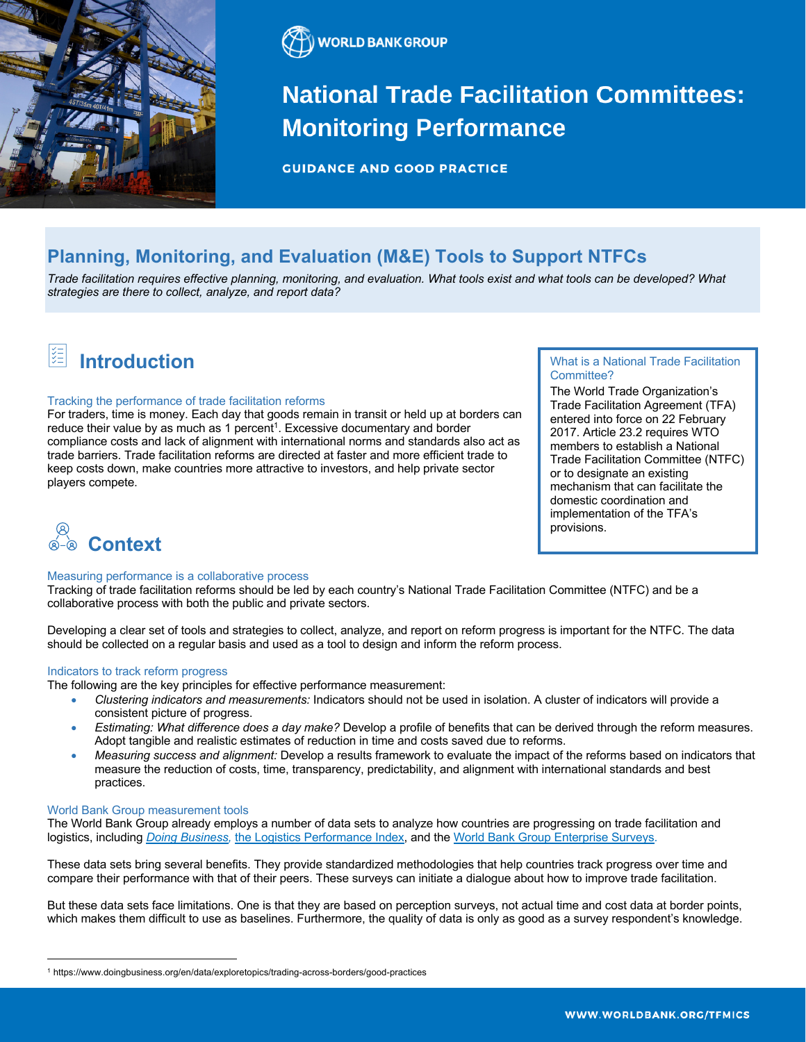



# **National Trade Facilitation Committees: Monitoring Performance**

**GUIDANCE AND GOOD PRACTICE** 

# **Planning, Monitoring, and Evaluation (M&E) Tools to Support NTFCs**

*Trade facilitation requires effective planning, monitoring, and evaluation. What tools exist and what tools can be developed? What strategies are there to collect, analyze, and report data?*

### 阻 **Introduction**

#### Tracking the performance of trade facilitation reforms

For traders, time is money. Each day that goods remain in transit or held up at borders can reduce their value by as much as 1 percent<sup>1</sup>. Excessive documentary and border compliance costs and lack of alignment with international norms and standards also act as trade barriers. Trade facilitation reforms are directed at faster and more efficient trade to keep costs down, make countries more attractive to investors, and help private sector players compete.

# What is a National Trade Facilitation Committee?

The World Trade Organization's Trade Facilitation Agreement (TFA) entered into force on 22 February 2017. Article 23.2 requires WTO members to establish a National Trade Facilitation Committee (NTFC) or to designate an existing mechanism that can facilitate the domestic coordination and implementation of the TFA's provisions.



# Measuring performance is a collaborative process

Tracking of trade facilitation reforms should be led by each country's National Trade Facilitation Committee (NTFC) and be a collaborative process with both the public and private sectors.

Developing a clear set of tools and strategies to collect, analyze, and report on reform progress is important for the NTFC. The data should be collected on a regular basis and used as a tool to design and inform the reform process.

# Indicators to track reform progress

The following are the key principles for effective performance measurement:

- *Clustering indicators and measurements:* Indicators should not be used in isolation. A cluster of indicators will provide a consistent picture of progress.
- *Estimating: What difference does a day make?* Develop a profile of benefits that can be derived through the reform measures. Adopt tangible and realistic estimates of reduction in time and costs saved due to reforms.
- *Measuring success and alignment:* Develop a results framework to evaluate the impact of the reforms based on indicators that measure the reduction of costs, time, transparency, predictability, and alignment with international standards and best practices.

#### World Bank Group measurement tools

The World Bank Group already employs a number of data sets to analyze how countries are progressing on trade facilitation and logistics, including *Doing Business,* the Logistics Performance Index, and the World Bank Group Enterprise Surveys.

These data sets bring several benefits. They provide standardized methodologies that help countries track progress over time and compare their performance with that of their peers. These surveys can initiate a dialogue about how to improve trade facilitation.

But these data sets face limitations. One is that they are based on perception surveys, not actual time and cost data at border points, which makes them difficult to use as baselines. Furthermore, the quality of data is only as good as a survey respondent's knowledge.

<sup>1</sup> https://www.doingbusiness.org/en/data/exploretopics/trading-across-borders/good-practices